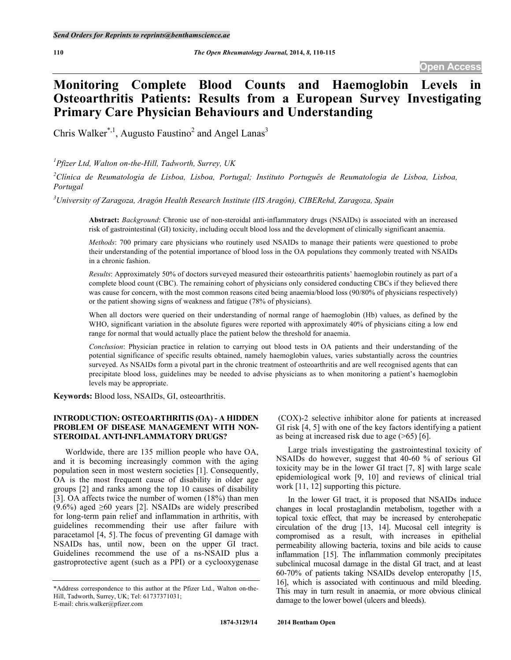# **Monitoring Complete Blood Counts and Haemoglobin Levels Osteoarthritis Patients: Results from a European Survey Investigating Primary Care Physician Behaviours and Understanding**

Chris Walker<sup>\*,1</sup>, Augusto Faustino<sup>2</sup> and Angel Lanas<sup>3</sup>

*1 Pfizer Ltd, Walton on-the-Hill, Tadworth, Surrey, UK*

<sup>2</sup> Clínica de Reumatologia de Lisboa, Lisboa, Portugal; Instituto Português de Reumatologia de Lisboa, Lisboa, *Portugal*

*3 University of Zaragoza, Aragón Health Research Institute (IIS Aragón), CIBERehd, Zaragoza, Spain*

**Abstract:** *Background*: Chronic use of non-steroidal anti-inflammatory drugs (NSAIDs) is associated with an increased risk of gastrointestinal (GI) toxicity, including occult blood loss and the development of clinically significant anaemia.

*Methods*: 700 primary care physicians who routinely used NSAIDs to manage their patients were questioned to probe their understanding of the potential importance of blood loss in the OA populations they commonly treated with NSAIDs in a chronic fashion.

*Results*: Approximately 50% of doctors surveyed measured their osteoarthritis patients' haemoglobin routinely as part of a complete blood count (CBC). The remaining cohort of physicians only considered conducting CBCs if they believed there was cause for concern, with the most common reasons cited being anaemia/blood loss (90/80% of physicians respectively) or the patient showing signs of weakness and fatigue (78% of physicians).

When all doctors were queried on their understanding of normal range of haemoglobin (Hb) values, as defined by the WHO, significant variation in the absolute figures were reported with approximately 40% of physicians citing a low end range for normal that would actually place the patient below the threshold for anaemia.

*Conclusion*: Physician practice in relation to carrying out blood tests in OA patients and their understanding of the potential significance of specific results obtained, namely haemoglobin values, varies substantially across the countries surveyed. As NSAIDs form a pivotal part in the chronic treatment of osteoarthritis and are well recognised agents that can precipitate blood loss, guidelines may be needed to advise physicians as to when monitoring a patient's haemoglobin levels may be appropriate.

**Keywords:** Blood loss, NSAIDs, GI, osteoarthritis.

# **INTRODUCTION: OSTEOARTHRITIS (OA) - A HIDDEN PROBLEM OF DISEASE MANAGEMENT WITH NON-STEROIDAL ANTI-INFLAMMATORY DRUGS?**

Worldwide, there are 135 million people who have OA, and it is becoming increasingly common with the aging population seen in most western societies [1]. Consequently, OA is the most frequent cause of disability in older age groups [2] and ranks among the top 10 causes of disability [3]. OA affects twice the number of women (18%) than men (9.6%) aged  $\geq 60$  years [2]. NSAIDs are widely prescribed for long-term pain relief and inflammation in arthritis, with guidelines recommending their use after failure with paracetamol [4, 5]. The focus of preventing GI damage with NSAIDs has, until now, been on the upper GI tract. Guidelines recommend the use of a ns-NSAID plus a gastroprotective agent (such as a PPI) or a cyclooxygenase

(COX)-2 selective inhibitor alone for patients at increased GI risk [4, 5] with one of the key factors identifying a patient as being at increased risk due to age  $($ >65) [6].

Large trials investigating the gastrointestinal toxicity of NSAIDs do however, suggest that 40-60 % of serious GI toxicity may be in the lower GI tract [7, 8] with large scale epidemiological work [9, 10] and reviews of clinical trial work [11, 12] supporting this picture.

In the lower GI tract, it is proposed that NSAIDs induce changes in local prostaglandin metabolism, together with a topical toxic effect, that may be increased by enterohepatic circulation of the drug [13, 14]. Mucosal cell integrity is compromised as a result, with increases in epithelial permeability allowing bacteria, toxins and bile acids to cause inflammation [15]. The inflammation commonly precipitates subclinical mucosal damage in the distal GI tract, and at least 60-70% of patients taking NSAIDs develop enteropathy [15, 16], which is associated with continuous and mild bleeding. This may in turn result in anaemia, or more obvious clinical damage to the lower bowel (ulcers and bleeds).

<sup>\*</sup>Address correspondence to this author at the Pfizer Ltd., Walton on-the-Hill, Tadworth, Surrey, UK; Tel: 61737371031; E-mail: chris.walker@pfizer.com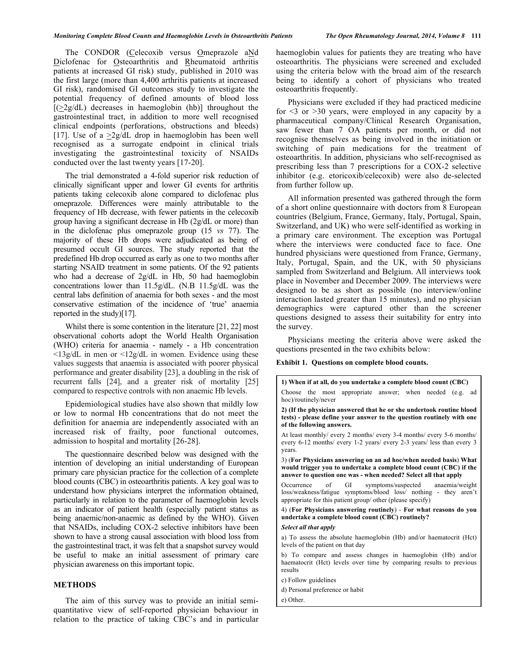The CONDOR (Celecoxib versus Omeprazole aNd Diclofenac for Osteoarthritis and Rheumatoid arthritis patients at increased GI risk) study, published in 2010 was the first large (more than 4,400 arthritis patients at increased GI risk), randomised GI outcomes study to investigate the potential frequency of defined amounts of blood loss  $[2g/dL]$  decreases in haemoglobin (hb)] throughout the gastrointestinal tract, in addition to more well recognised clinical endpoints (perforations, obstructions and bleeds) [17]. Use of a  $>2g/dL$  drop in haemoglobin has been well recognised as a surrogate endpoint in clinical trials investigating the gastrointestinal toxicity of NSAIDs conducted over the last twenty years [17-20].

The trial demonstrated a 4-fold superior risk reduction of clinically significant upper and lower GI events for arthritis patients taking celecoxib alone compared to diclofenac plus omeprazole. Differences were mainly attributable to the frequency of Hb decrease, with fewer patients in the celecoxib group having a significant decrease in Hb (2g/dL or more) than in the diclofenac plus omeprazole group (15 *vs* 77). The majority of these Hb drops were adjudicated as being of presumed occult GI sources. The study reported that the predefined Hb drop occurred as early as one to two months after starting NSAID treatment in some patients. Of the 92 patients who had a decrease of 2g/dL in Hb, 50 had haemoglobin concentrations lower than 11.5g/dL. (N.B 11.5g/dL was the central labs definition of anaemia for both sexes - and the most conservative estimation of the incidence of 'true' anaemia reported in the study)[17].

Whilst there is some contention in the literature [21, 22] most observational cohorts adopt the World Health Organisation (WHO) criteria for anaemia - namely - a Hb concentration  $\langle 13g/dL$  in men or  $\langle 12g/dL$  in women. Evidence using these values suggests that anaemia is associated with poorer physical performance and greater disability [23], a doubling in the risk of recurrent falls [24], and a greater risk of mortality [25] compared to respective controls with non anaemic Hb levels.

Epidemiological studies have also shown that mildly low or low to normal Hb concentrations that do not meet the definition for anaemia are independently associated with an increased risk of frailty, poor functional outcomes, admission to hospital and mortality [26-28].

The questionnaire described below was designed with the intention of developing an initial understanding of European primary care physician practice for the collection of a complete blood counts (CBC) in osteoarthritis patients. A key goal was to understand how physicians interpret the information obtained, particularly in relation to the parameter of haemoglobin levels as an indicator of patient health (especially patient status as being anaemic/non-anaemic as defined by the WHO). Given that NSAIDs, including COX-2 selective inhibitors have been shown to have a strong causal association with blood loss from the gastrointestinal tract, it was felt that a snapshot survey would be useful to make an initial assessment of primary care physician awareness on this important topic.

#### **METHODS**

The aim of this survey was to provide an initial semiquantitative view of self-reported physician behaviour in relation to the practice of taking CBC's and in particular haemoglobin values for patients they are treating who have osteoarthritis. The physicians were screened and excluded using the criteria below with the broad aim of the research being to identify a cohort of physicians who treated osteoarthritis frequently.

Physicians were excluded if they had practiced medicine for  $\leq$  3 or  $\geq$  30 years, were employed in any capacity by a pharmaceutical company/Clinical Research Organisation, saw fewer than 7 OA patients per month, or did not recognise themselves as being involved in the initiation or switching of pain medications for the treatment of osteoarthritis. In addition, physicians who self-recognised as prescribing less than 7 prescriptions for a COX-2 selective inhibitor (e.g. etoricoxib/celecoxib) were also de-selected from further follow up.

All information presented was gathered through the form of a short online questionnaire with doctors from 8 European countries (Belgium, France, Germany, Italy, Portugal, Spain, Switzerland, and UK) who were self-identified as working in a primary care environment. The exception was Portugal where the interviews were conducted face to face. One hundred physicians were questioned from France, Germany, Italy, Portugal, Spain, and the UK, with 50 physicians sampled from Switzerland and Belgium. All interviews took place in November and December 2009. The interviews were designed to be as short as possible (no interview/online interaction lasted greater than 15 minutes), and no physician demographics were captured other than the screener questions designed to assess their suitability for entry into the survey.

Physicians meeting the criteria above were asked the questions presented in the two exhibits below:

#### **Exhibit 1. Questions on complete blood counts.**

**1) When if at all, do you undertake a complete blood count (CBC)** Choose the most appropriate answer; when needed (e.g. ad hoc)/routinely/never **2) (If the physician answered that he or she undertook routine blood tests) - please define your answer to the question routinely with one of the following answers.** At least monthly/ every 2 months/ every 3-4 months/ every 5-6 months/ every 6-12 months/ every 1-2 years/ every 2-3 years/ less than every 3 years. 3) (**For Physicians answering on an ad hoc/when needed basis**) **What would trigger you to undertake a complete blood count (CBC) if the answer to question one was - when needed? Select all that apply** Occurrence of GI symptoms/suspected anaemia/weight loss/weakness/fatigue symptoms/blood loss/ nothing - they aren't appropriate for this patient group/ other (please specify) 4) (**For Physicians answering routinely**) - **For what reasons do you undertake a complete blood count (CBC) routinely?** *Select all that apply* a) To assess the absolute haemoglobin (Hb) and/or haematocrit (Hct) levels of the patient on that day b) To compare and assess changes in haemoglobin (Hb) and/or haematocrit (Hct) levels over time by comparing results to previous results c) Follow guidelines d) Personal preference or habit e) Other.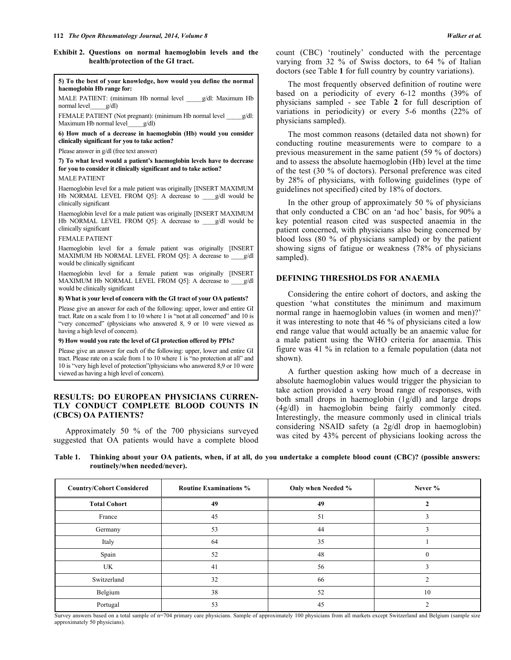#### **Exhibit 2. Questions on normal haemoglobin levels and the health/protection of the GI tract.**

#### **5) To the best of your knowledge, how would you define the normal haemoglobin Hb range for:**

MALE PATIENT: (minimum Hb normal level \_\_\_\_\_g/dl: Maximum Hb normal level\_\_\_\_\_g/dl)

FEMALE PATIENT (Not pregnant): (minimum Hb normal level  $\frac{g}{dl}$ : Maximum Hb normal level  $\frac{g}{dl}$ ) Maximum Hb normal level

**6) How much of a decrease in haemoglobin (Hb) would you consider clinically significant for you to take action?**

Please answer in g/dl (free text answer)

**7) To what level would a patient's haemoglobin levels have to decrease for you to consider it clinically significant and to take action?** MALE PATIENT

Haemoglobin level for a male patient was originally [INSERT MAXIMUM Hb NORMAL LEVEL FROM Q5]: A decrease to \_\_\_g/dl would be clinically significant

Haemoglobin level for a male patient was originally [INSERT MAXIMUM Hb NORMAL LEVEL FROM Q5]: A decrease to g/dl would be clinically significant

#### FEMALE PATIENT

Haemoglobin level for a female patient was originally [INSERT MAXIMUM Hb NORMAL LEVEL FROM Q5]: A decrease to \_\_\_\_g/dl would be clinically significant

Haemoglobin level for a female patient was originally [INSERT MAXIMUM Hb NORMAL LEVEL FROM Q5]: A decrease to g/dl would be clinically significant

#### **8) What is your level of concern with the GI tract of your OA patients?**

Please give an answer for each of the following: upper, lower and entire GI tract. Rate on a scale from 1 to 10 where 1 is "not at all concerned" and 10 is "very concerned" (physicians who answered 8, 9 or 10 were viewed as having a high level of concern).

#### **9) How would you rate the level of GI protection offered by PPIs?**

Please give an answer for each of the following: upper, lower and entire GI tract. Please rate on a scale from 1 to 10 where 1 is "no protection at all" and 10 is "very high level of protection"(physicians who answered 8,9 or 10 were viewed as having a high level of concern).

# **RESULTS: DO EUROPEAN PHYSICIANS CURREN-TLY CONDUCT COMPLETE BLOOD COUNTS IN (CBCS) OA PATIENTS?**

Approximately 50 % of the 700 physicians surveyed suggested that OA patients would have a complete blood count (CBC) 'routinely' conducted with the percentage varying from 32 % of Swiss doctors, to 64 % of Italian doctors (see Table **1** for full country by country variations).

The most frequently observed definition of routine were based on a periodicity of every 6-12 months (39% of physicians sampled - see Table **2** for full description of variations in periodicity) or every 5-6 months (22% of physicians sampled).

The most common reasons (detailed data not shown) for conducting routine measurements were to compare to a previous measurement in the same patient (59 % of doctors) and to assess the absolute haemoglobin (Hb) level at the time of the test (30 % of doctors). Personal preference was cited by 28% of physicians, with following guidelines (type of guidelines not specified) cited by 18% of doctors.

In the other group of approximately 50 % of physicians that only conducted a CBC on an 'ad hoc' basis, for 90% a key potential reason cited was suspected anaemia in the patient concerned, with physicians also being concerned by blood loss (80 % of physicians sampled) or by the patient showing signs of fatigue or weakness (78% of physicians sampled).

## **DEFINING THRESHOLDS FOR ANAEMIA**

Considering the entire cohort of doctors, and asking the question 'what constitutes the minimum and maximum normal range in haemoglobin values (in women and men)?' it was interesting to note that 46 % of physicians cited a low end range value that would actually be an anaemic value for a male patient using the WHO criteria for anaemia. This figure was 41 % in relation to a female population (data not shown).

A further question asking how much of a decrease in absolute haemoglobin values would trigger the physician to take action provided a very broad range of responses, with both small drops in haemoglobin (1g/dl) and large drops (4g/dl) in haemoglobin being fairly commonly cited. Interestingly, the measure commonly used in clinical trials considering NSAID safety (a 2g/dl drop in haemoglobin) was cited by 43% percent of physicians looking across the

**Table 1. Thinking about your OA patients, when, if at all, do you undertake a complete blood count (CBC)? (possible answers: routinely/when needed/never).**

| <b>Country/Cohort Considered</b> | <b>Routine Examinations %</b> | Only when Needed % | Never % |
|----------------------------------|-------------------------------|--------------------|---------|
| <b>Total Cohort</b>              | 49                            | 49                 |         |
| France                           | 45                            | 51                 |         |
| Germany                          | 53                            | 44                 |         |
| Italy                            | 64                            | 35                 |         |
| Spain                            | 52                            | 48                 |         |
| UK                               | 41                            | 56                 |         |
| Switzerland                      | 32                            | 66                 |         |
| Belgium                          | 38                            | 52                 | 10      |
| Portugal                         | 53                            | 45                 |         |

Survey answers based on a total sample of n=704 primary care physicians. Sample of approximately 100 physicians from all markets except Switzerland and Belgium (sample size approximately 50 physicians).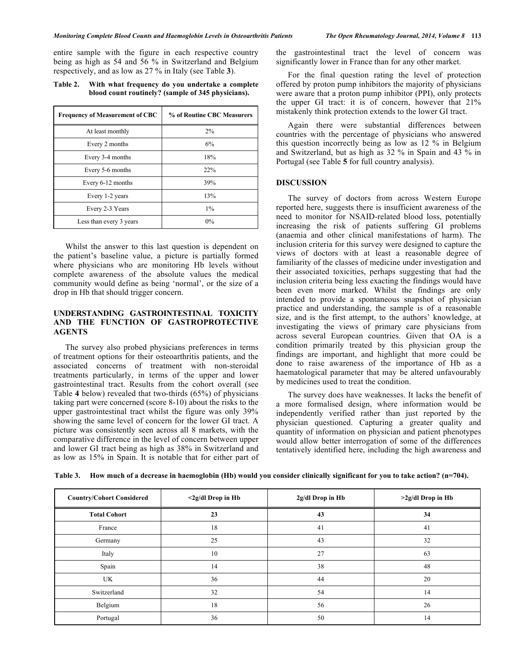entire sample with the figure in each respective country being as high as 54 and 56 % in Switzerland and Belgium respectively, and as low as 27 % in Italy (see Table **3**).

**Table 2. With what frequency do you undertake a complete blood count routinely? (sample of 345 physicians).**

| <b>Frequency of Measurement of CBC</b> | % of Routine CBC Measurers |  |
|----------------------------------------|----------------------------|--|
| At least monthly                       | 2%                         |  |
| Every 2 months                         | 6%                         |  |
| Every 3-4 months                       | 18%                        |  |
| Every 5-6 months                       | 22%                        |  |
| Every 6-12 months                      | 39%                        |  |
| Every 1-2 years                        | 13%                        |  |
| Every 2-3 Years                        | $1\%$                      |  |
| Less than every 3 years                | $0\%$                      |  |

Whilst the answer to this last question is dependent on the patient's baseline value, a picture is partially formed where physicians who are monitoring Hb levels without complete awareness of the absolute values the medical community would define as being 'normal', or the size of a drop in Hb that should trigger concern.

# **UNDERSTANDING GASTROINTESTINAL TOXICITY AND THE FUNCTION OF GASTROPROTECTIVE AGENTS**

The survey also probed physicians preferences in terms of treatment options for their osteoarthritis patients, and the associated concerns of treatment with non-steroidal treatments particularly, in terms of the upper and lower gastrointestinal tract. Results from the cohort overall (see Table **4** below) revealed that two-thirds (65%) of physicians taking part were concerned (score 8-10) about the risks to the upper gastrointestinal tract whilst the figure was only 39% showing the same level of concern for the lower GI tract. A picture was consistently seen across all 8 markets, with the comparative difference in the level of concern between upper and lower GI tract being as high as 38% in Switzerland and as low as 15% in Spain. It is notable that for either part of the gastrointestinal tract the level of concern was significantly lower in France than for any other market.

For the final question rating the level of protection offered by proton pump inhibitors the majority of physicians were aware that a proton pump inhibitor (PPI), only protects the upper GI tract: it is of concern, however that 21% mistakenly think protection extends to the lower GI tract.

Again there were substantial differences between countries with the percentage of physicians who answered this question incorrectly being as low as 12 % in Belgium and Switzerland, but as high as 32 % in Spain and 43 % in Portugal (see Table **5** for full country analysis).

## **DISCUSSION**

The survey of doctors from across Western Europe reported here, suggests there is insufficient awareness of the need to monitor for NSAID-related blood loss, potentially increasing the risk of patients suffering GI problems (anaemia and other clinical manifestations of harm). The inclusion criteria for this survey were designed to capture the views of doctors with at least a reasonable degree of familiarity of the classes of medicine under investigation and their associated toxicities, perhaps suggesting that had the inclusion criteria being less exacting the findings would have been even more marked. Whilst the findings are only intended to provide a spontaneous snapshot of physician practice and understanding, the sample is of a reasonable size, and is the first attempt, to the authors' knowledge, at investigating the views of primary care physicians from across several European countries. Given that OA is a condition primarily treated by this physician group the findings are important, and highlight that more could be done to raise awareness of the importance of Hb as a haematological parameter that may be altered unfavourably by medicines used to treat the condition.

The survey does have weaknesses. It lacks the benefit of a more formalised design, where information would be independently verified rather than just reported by the physician questioned. Capturing a greater quality and quantity of information on physician and patient phenotypes would allow better interrogation of some of the differences tentatively identified here, including the high awareness and

| <b>Country/Cohort Considered</b> | $\langle 2g/dl$ Drop in Hb | 2g/dl Drop in Hb | $>2g/dl$ Drop in Hb |
|----------------------------------|----------------------------|------------------|---------------------|
| <b>Total Cohort</b>              | 23                         | 43               | 34                  |
| France                           | 18                         | 41               | 41                  |
| Germany                          | 25                         | 43               | 32                  |
| Italy                            | 10                         | 27               | 63                  |
| Spain                            | 14                         | 38               | 48                  |
| UK                               | 36                         | 44               | 20                  |
| Switzerland                      | 32                         | 54               | 14                  |
| Belgium                          | 18                         | 56               | 26                  |
| Portugal                         | 36                         | 50               | 14                  |

**Table 3. How much of a decrease in haemoglobin (Hb) would you consider clinically significant for you to take action? (n=704).**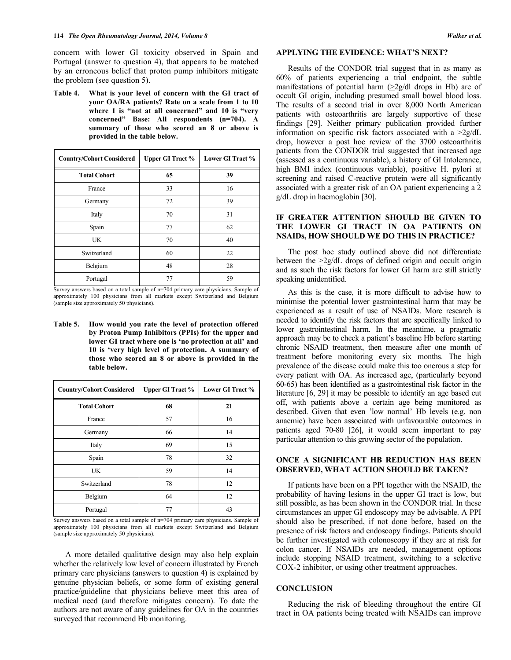concern with lower GI toxicity observed in Spain and Portugal (answer to question 4), that appears to be matched by an erroneous belief that proton pump inhibitors mitigate the problem (see question 5).

**Table 4. What is your level of concern with the GI tract of your OA/RA patients? Rate on a scale from 1 to 10 where 1 is "not at all concerned" and 10 is "very concerned" Base: All respondents (n=704). A summary of those who scored an 8 or above is provided in the table below.**

| <b>Country/Cohort Considered</b> | <b>Upper GI Tract %</b> | Lower GI Tract % |
|----------------------------------|-------------------------|------------------|
| <b>Total Cohort</b>              | 65                      | 39               |
| France                           | 33                      | 16               |
| Germany                          | 72                      | 39               |
| Italy                            | 70                      | 31               |
| Spain                            | 77                      | 62               |
| UK                               | 70                      | 40               |
| Switzerland                      | 60                      | 22               |
| Belgium                          | 48                      | 28               |
| Portugal                         | 77                      | 59               |

Survey answers based on a total sample of n=704 primary care physicians. Sample of approximately 100 physicians from all markets except Switzerland and Belgium (sample size approximately 50 physicians).

**Table 5. How would you rate the level of protection offered by Proton Pump Inhibitors (PPIs) for the upper and lower GI tract where one is 'no protection at all' and 10 is 'very high level of protection. A summary of those who scored an 8 or above is provided in the table below.**

| <b>Country/Cohort Considered</b> | <b>Upper GI Tract %</b> | Lower GI Tract % |
|----------------------------------|-------------------------|------------------|
| <b>Total Cohort</b>              | 68                      | 21               |
| France                           | 57                      | 16               |
| Germany                          | 66                      | 14               |
| Italy                            | 69                      | 15               |
| Spain                            | 78                      | 32               |
| <b>UK</b>                        | 59                      | 14               |
| Switzerland                      | 78                      | 12               |
| Belgium                          | 64                      | 12               |
| Portugal                         | 77                      | 43               |

Survey answers based on a total sample of n=704 primary care physicians. Sample of approximately 100 physicians from all markets except Switzerland and Belgium (sample size approximately 50 physicians).

A more detailed qualitative design may also help explain whether the relatively low level of concern illustrated by French primary care physicians (answers to question 4) is explained by genuine physician beliefs, or some form of existing general practice/guideline that physicians believe meet this area of medical need (and therefore mitigates concern). To date the authors are not aware of any guidelines for OA in the countries surveyed that recommend Hb monitoring.

## **APPLYING THE EVIDENCE: WHAT'S NEXT?**

Results of the CONDOR trial suggest that in as many as 60% of patients experiencing a trial endpoint, the subtle manifestations of potential harm (>2g/dl drops in Hb) are of occult GI origin, including presumed small bowel blood loss. The results of a second trial in over 8,000 North American patients with osteoarthritis are largely supportive of these findings [29]. Neither primary publication provided further information on specific risk factors associated with a >2g/dL drop, however a post hoc review of the 3700 osteoarthritis patients from the CONDOR trial suggested that increased age (assessed as a continuous variable), a history of GI Intolerance, high BMI index (continuous variable), positive H. pylori at screening and raised C-reactive protein were all significantly associated with a greater risk of an OA patient experiencing a 2 g/dL drop in haemoglobin [30].

## **IF GREATER ATTENTION SHOULD BE GIVEN TO THE LOWER GI TRACT IN OA PATIENTS ON NSAIDs, HOW SHOULD WE DO THIS IN PRACTICE?**

The post hoc study outlined above did not differentiate between the  $\geq$ 2g/dL drops of defined origin and occult origin and as such the risk factors for lower GI harm are still strictly speaking unidentified.

As this is the case, it is more difficult to advise how to minimise the potential lower gastrointestinal harm that may be experienced as a result of use of NSAIDs. More research is needed to identify the risk factors that are specifically linked to lower gastrointestinal harm. In the meantime, a pragmatic approach may be to check a patient's baseline Hb before starting chronic NSAID treatment, then measure after one month of treatment before monitoring every six months. The high prevalence of the disease could make this too onerous a step for every patient with OA. As increased age, (particularly beyond 60-65) has been identified as a gastrointestinal risk factor in the literature [6, 29] it may be possible to identify an age based cut off, with patients above a certain age being monitored as described. Given that even 'low normal' Hb levels (e.g. non anaemic) have been associated with unfavourable outcomes in patients aged 70-80 [26], it would seem important to pay particular attention to this growing sector of the population.

## **ONCE A SIGNIFICANT HB REDUCTION HAS BEEN OBSERVED, WHAT ACTION SHOULD BE TAKEN?**

If patients have been on a PPI together with the NSAID, the probability of having lesions in the upper GI tract is low, but still possible, as has been shown in the CONDOR trial. In these circumstances an upper GI endoscopy may be advisable. A PPI should also be prescribed, if not done before, based on the presence of risk factors and endoscopy findings. Patients should be further investigated with colonoscopy if they are at risk for colon cancer. If NSAIDs are needed, management options include stopping NSAID treatment, switching to a selective COX-2 inhibitor, or using other treatment approaches.

# **CONCLUSION**

Reducing the risk of bleeding throughout the entire GI tract in OA patients being treated with NSAIDs can improve